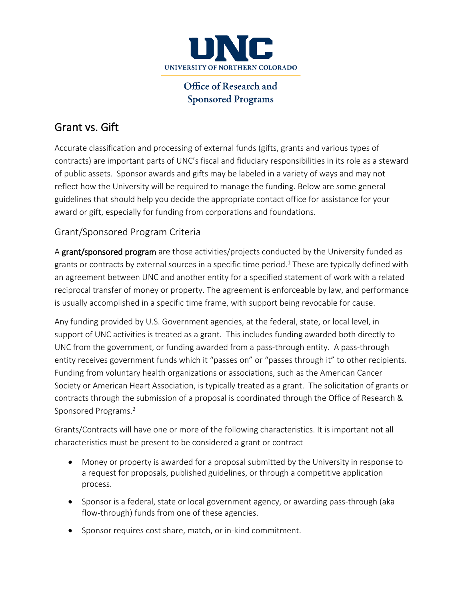

## Office of Research and **Sponsored Programs**

# Grant vs. Gift

Accurate classification and processing of external funds (gifts, grants and various types of contracts) are important parts of UNC's fiscal and fiduciary responsibilities in its role as a steward of public assets. Sponsor awards and gifts may be labeled in a variety of ways and may not reflect how the University will be required to manage the funding. Below are some general guidelines that should help you decide the appropriate contact office for assistance for your award or gift, especially for funding from corporations and foundations.

### Grant/Sponsored Program Criteria

A grant/sponsored program are those activities/projects conducted by the University funded as grants or contracts by external sources in a specific time period.<sup>1</sup> These are typically defined with an agreement between UNC and another entity for a specified statement of work with a related reciprocal transfer of money or property. The agreement is enforceable by law, and performance is usually accomplished in a specific time frame, with support being revocable for cause.

Any funding provided by U.S. Government agencies, at the federal, state, or local level, in support of UNC activities is treated as a grant. This includes funding awarded both directly to UNC from the government, or funding awarded from a pass-through entity. A pass-through entity receives government funds which it "passes on" or "passes through it" to other recipients. Funding from voluntary health organizations or associations, such as the American Cancer Society or American Heart Association, is typically treated as a grant. The solicitation of grants or contracts through the submission of a proposal is coordinated through the Office of Research & Sponsored Programs.2

Grants/Contracts will have one or more of the following characteristics. It is important not all characteristics must be present to be considered a grant or contract

- Money or property is awarded for a proposal submitted by the University in response to a request for proposals, published guidelines, or through a competitive application process.
- Sponsor is a federal, state or local government agency, or awarding pass-through (aka flow-through) funds from one of these agencies.
- Sponsor requires cost share, match, or in-kind commitment.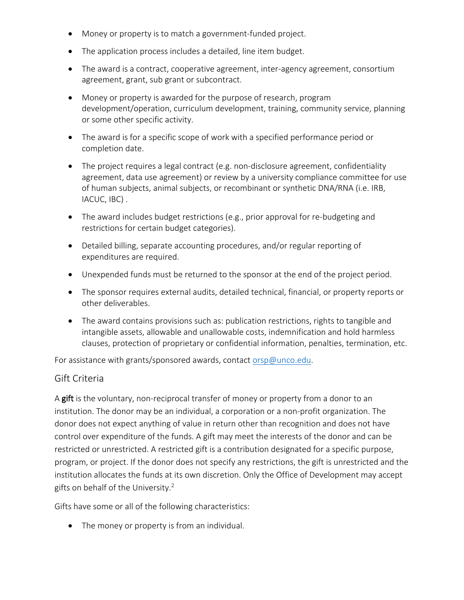- Money or property is to match a government-funded project.
- The application process includes a detailed, line item budget.
- The award is a contract, cooperative agreement, inter-agency agreement, consortium agreement, grant, sub grant or subcontract.
- Money or property is awarded for the purpose of research, program development/operation, curriculum development, training, community service, planning or some other specific activity.
- The award is for a specific scope of work with a specified performance period or completion date.
- The project requires a legal contract (e.g. non-disclosure agreement, confidentiality agreement, data use agreement) or review by a university compliance committee for use of human subjects, animal subjects, or recombinant or synthetic DNA/RNA (i.e. IRB, IACUC, IBC) .
- The award includes budget restrictions (e.g., prior approval for re-budgeting and restrictions for certain budget categories).
- Detailed billing, separate accounting procedures, and/or regular reporting of expenditures are required.
- Unexpended funds must be returned to the sponsor at the end of the project period.
- The sponsor requires external audits, detailed technical, financial, or property reports or other deliverables.
- The award contains provisions such as: publication restrictions, rights to tangible and intangible assets, allowable and unallowable costs, indemnification and hold harmless clauses, protection of proprietary or confidential information, penalties, termination, etc.

For assistance with grants/sponsored awards, contact [orsp@unco.edu.](mailto:orsp@unco.edu)

#### Gift Criteria

A gift is the voluntary, non-reciprocal transfer of money or property from a donor to an institution. The donor may be an individual, a corporation or a non-profit organization. The donor does not expect anything of value in return other than recognition and does not have control over expenditure of the funds. A gift may meet the interests of the donor and can be restricted or unrestricted. A restricted gift is a contribution designated for a specific purpose, program, or project. If the donor does not specify any restrictions, the gift is unrestricted and the institution allocates the funds at its own discretion. Only the Office of Development may accept gifts on behalf of the University.2

Gifts have some or all of the following characteristics:

• The money or property is from an individual.